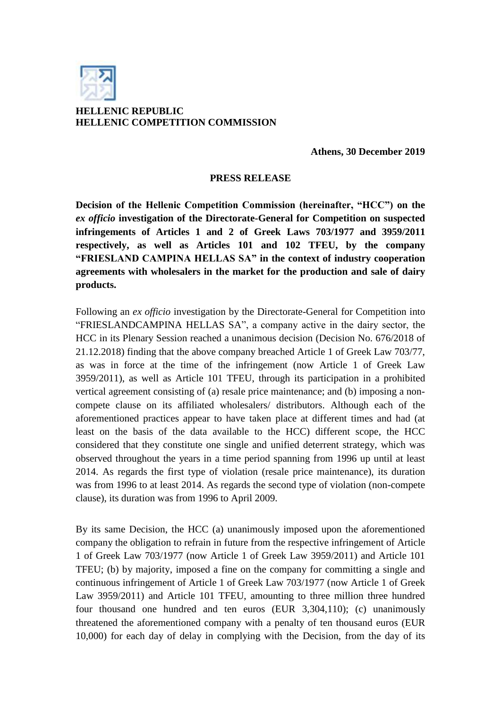

## **HELLENIC REPUBLIC HELLENIC COMPETITION COMMISSION**

**Athens, 30 December 2019**

## **PRESS RELEASE**

**Decision of the Hellenic Competition Commission (hereinafter, "HCC") on the**  *ex officio* **investigation of the Directorate-General for Competition on suspected infringements of Articles 1 and 2 of Greek Laws 703/1977 and 3959/2011 respectively, as well as Articles 101 and 102 TFEU, by the company "FRIESLAND CAMPINA HELLAS SA" in the context of industry cooperation agreements with wholesalers in the market for the production and sale of dairy products.**

Following an *ex officio* investigation by the Directorate-General for Competition into "FRIESLANDCAMPINA HELLAS SA", a company active in the dairy sector, the HCC in its Plenary Session reached a unanimous decision (Decision No. 676/2018 of 21.12.2018) finding that the above company breached Article 1 of Greek Law 703/77, as was in force at the time of the infringement (now Article 1 of Greek Law 3959/2011), as well as Article 101 TFEU, through its participation in a prohibited vertical agreement consisting of (a) resale price maintenance; and (b) imposing a noncompete clause on its affiliated wholesalers/ distributors. Although each of the aforementioned practices appear to have taken place at different times and had (at least on the basis of the data available to the HCC) different scope, the HCC considered that they constitute one single and unified deterrent strategy, which was observed throughout the years in a time period spanning from 1996 up until at least 2014. As regards the first type of violation (resale price maintenance), its duration was from 1996 to at least 2014. As regards the second type of violation (non-compete clause), its duration was from 1996 to April 2009.

By its same Decision, the HCC (a) unanimously imposed upon the aforementioned company the obligation to refrain in future from the respective infringement of Article 1 of Greek Law 703/1977 (now Article 1 of Greek Law 3959/2011) and Article 101 TFEU; (b) by majority, imposed a fine on the company for committing a single and continuous infringement of Article 1 of Greek Law 703/1977 (now Article 1 of Greek Law 3959/2011) and Article 101 TFEU, amounting to three million three hundred four thousand one hundred and ten euros (EUR 3,304,110); (c) unanimously threatened the aforementioned company with a penalty of ten thousand euros (EUR 10,000) for each day of delay in complying with the Decision, from the day of its